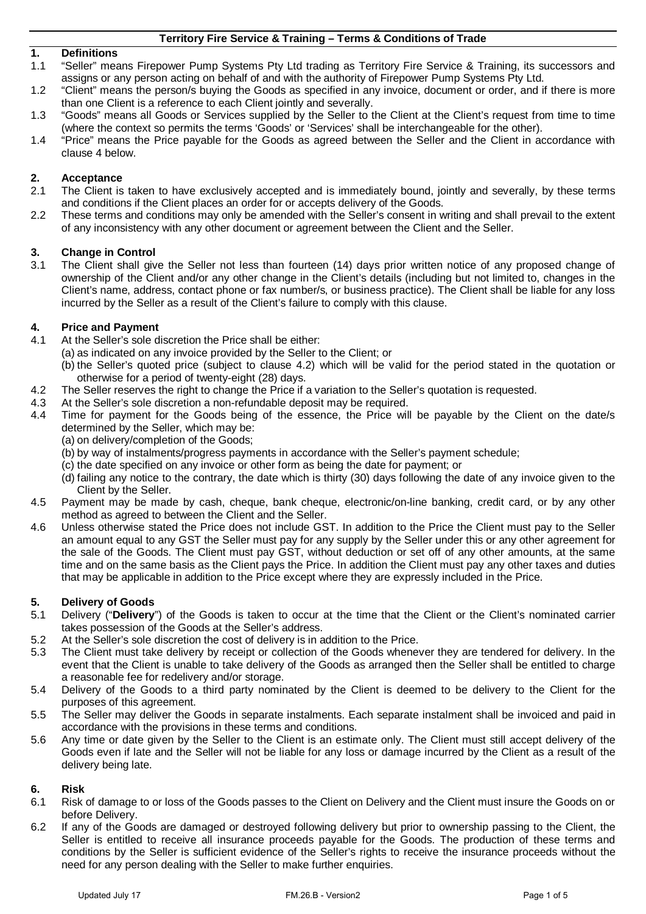# **1. Definitions**

- "Seller" means Firepower Pump Systems Pty Ltd trading as Territory Fire Service & Training, its successors and assigns or any person acting on behalf of and with the authority of Firepower Pump Systems Pty Ltd.
- 1.2 "Client" means the person/s buying the Goods as specified in any invoice, document or order, and if there is more than one Client is a reference to each Client jointly and severally.
- 1.3 "Goods" means all Goods or Services supplied by the Seller to the Client at the Client's request from time to time (where the context so permits the terms 'Goods' or 'Services' shall be interchangeable for the other).
- 1.4 "Price" means the Price payable for the Goods as agreed between the Seller and the Client in accordance with clause [4](#page-0-0) below.

## **2. Acceptance**

- 2.1 The Client is taken to have exclusively accepted and is immediately bound, jointly and severally, by these terms and conditions if the Client places an order for or accepts delivery of the Goods.
- 2.2 These terms and conditions may only be amended with the Seller's consent in writing and shall prevail to the extent of any inconsistency with any other document or agreement between the Client and the Seller.

#### **3. Change in Control**

3.1 The Client shall give the Seller not less than fourteen (14) days prior written notice of any proposed change of ownership of the Client and/or any other change in the Client's details (including but not limited to, changes in the Client's name, address, contact phone or fax number/s, or business practice). The Client shall be liable for any loss incurred by the Seller as a result of the Client's failure to comply with this clause.

#### <span id="page-0-0"></span>**4. Price and Payment**

- 4.1 At the Seller's sole discretion the Price shall be either:
	- (a) as indicated on any invoice provided by the Seller to the Client; or
		- (b) the Seller's quoted price (subject to clause [4.2\)](#page-0-1) which will be valid for the period stated in the quotation or otherwise for a period of twenty-eight (28) days.
- <span id="page-0-1"></span>4.2 The Seller reserves the right to change the Price if a variation to the Seller's quotation is requested.
- 4.3 At the Seller's sole discretion a non-refundable deposit may be required.
- 4.4 Time for payment for the Goods being of the essence, the Price will be payable by the Client on the date/s determined by the Seller, which may be:
	- (a) on delivery/completion of the Goods;
	- (b) by way of instalments/progress payments in accordance with the Seller's payment schedule;
	- (c) the date specified on any invoice or other form as being the date for payment; or
	- (d) failing any notice to the contrary, the date which is thirty (30) days following the date of any invoice given to the Client by the Seller.
- 4.5 Payment may be made by cash, cheque, bank cheque, electronic/on-line banking, credit card, or by any other method as agreed to between the Client and the Seller.
- 4.6 Unless otherwise stated the Price does not include GST. In addition to the Price the Client must pay to the Seller an amount equal to any GST the Seller must pay for any supply by the Seller under this or any other agreement for the sale of the Goods. The Client must pay GST, without deduction or set off of any other amounts, at the same time and on the same basis as the Client pays the Price. In addition the Client must pay any other taxes and duties that may be applicable in addition to the Price except where they are expressly included in the Price.

## **5. Delivery of Goods**

- 5.1 Delivery ("**Delivery**") of the Goods is taken to occur at the time that the Client or the Client's nominated carrier takes possession of the Goods at the Seller's address.
- 5.2 At the Seller's sole discretion the cost of delivery is in addition to the Price.
- 5.3 The Client must take delivery by receipt or collection of the Goods whenever they are tendered for delivery. In the event that the Client is unable to take delivery of the Goods as arranged then the Seller shall be entitled to charge a reasonable fee for redelivery and/or storage.
- 5.4 Delivery of the Goods to a third party nominated by the Client is deemed to be delivery to the Client for the purposes of this agreement.
- 5.5 The Seller may deliver the Goods in separate instalments. Each separate instalment shall be invoiced and paid in accordance with the provisions in these terms and conditions.
- 5.6 Any time or date given by the Seller to the Client is an estimate only. The Client must still accept delivery of the Goods even if late and the Seller will not be liable for any loss or damage incurred by the Client as a result of the delivery being late.

# **6. Risk**

- Risk of damage to or loss of the Goods passes to the Client on Delivery and the Client must insure the Goods on or before Delivery.
- 6.2 If any of the Goods are damaged or destroyed following delivery but prior to ownership passing to the Client, the Seller is entitled to receive all insurance proceeds payable for the Goods. The production of these terms and conditions by the Seller is sufficient evidence of the Seller's rights to receive the insurance proceeds without the need for any person dealing with the Seller to make further enquiries.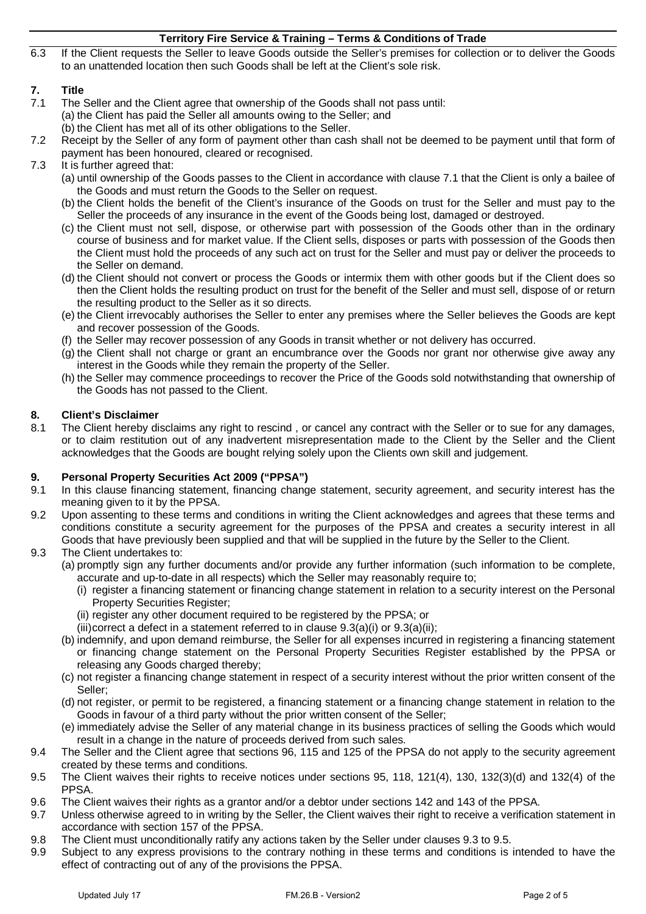6.3 If the Client requests the Seller to leave Goods outside the Seller's premises for collection or to deliver the Goods to an unattended location then such Goods shall be left at the Client's sole risk.

# **7. Title**

- <span id="page-1-0"></span>The Seller and the Client agree that ownership of the Goods shall not pass until:
	- (a) the Client has paid the Seller all amounts owing to the Seller; and
	- (b) the Client has met all of its other obligations to the Seller.
- 7.2 Receipt by the Seller of any form of payment other than cash shall not be deemed to be payment until that form of payment has been honoured, cleared or recognised.
- 7.3 It is further agreed that:
	- (a) until ownership of the Goods passes to the Client in accordance with clause [7.1](#page-1-0) that the Client is only a bailee of the Goods and must return the Goods to the Seller on request.
	- (b) the Client holds the benefit of the Client's insurance of the Goods on trust for the Seller and must pay to the Seller the proceeds of any insurance in the event of the Goods being lost, damaged or destroyed.
	- (c) the Client must not sell, dispose, or otherwise part with possession of the Goods other than in the ordinary course of business and for market value. If the Client sells, disposes or parts with possession of the Goods then the Client must hold the proceeds of any such act on trust for the Seller and must pay or deliver the proceeds to the Seller on demand.
	- (d) the Client should not convert or process the Goods or intermix them with other goods but if the Client does so then the Client holds the resulting product on trust for the benefit of the Seller and must sell, dispose of or return the resulting product to the Seller as it so directs.
	- (e) the Client irrevocably authorises the Seller to enter any premises where the Seller believes the Goods are kept and recover possession of the Goods.
	- (f) the Seller may recover possession of any Goods in transit whether or not delivery has occurred.
	- (g) the Client shall not charge or grant an encumbrance over the Goods nor grant nor otherwise give away any interest in the Goods while they remain the property of the Seller.
	- (h) the Seller may commence proceedings to recover the Price of the Goods sold notwithstanding that ownership of the Goods has not passed to the Client.

# **8. Client's Disclaimer**

The Client hereby disclaims any right to rescind, or cancel any contract with the Seller or to sue for any damages, or to claim restitution out of any inadvertent misrepresentation made to the Client by the Seller and the Client acknowledges that the Goods are bought relying solely upon the Clients own skill and judgement.

## **9. Personal Property Securities Act 2009 ("PPSA")**

- 9.1 In this clause financing statement, financing change statement, security agreement, and security interest has the meaning given to it by the PPSA.
- 9.2 Upon assenting to these terms and conditions in writing the Client acknowledges and agrees that these terms and conditions constitute a security agreement for the purposes of the PPSA and creates a security interest in all Goods that have previously been supplied and that will be supplied in the future by the Seller to the Client.
- <span id="page-1-3"></span><span id="page-1-2"></span><span id="page-1-1"></span>9.3 The Client undertakes to:
	- (a) promptly sign any further documents and/or provide any further information (such information to be complete, accurate and up-to-date in all respects) which the Seller may reasonably require to;
		- (i) register a financing statement or financing change statement in relation to a security interest on the Personal Property Securities Register;
		- (ii) register any other document required to be registered by the PPSA; or
		- (iii)correct a defect in a statement referred to in clause  $9.3(a)(i)$  $9.3(a)(i)$  or  $9.3(a)(ii)$ ;
	- (b) indemnify, and upon demand reimburse, the Seller for all expenses incurred in registering a financing statement or financing change statement on the Personal Property Securities Register established by the PPSA or releasing any Goods charged thereby;
	- (c) not register a financing change statement in respect of a security interest without the prior written consent of the Seller;
	- (d) not register, or permit to be registered, a financing statement or a financing change statement in relation to the Goods in favour of a third party without the prior written consent of the Seller;
	- (e) immediately advise the Seller of any material change in its business practices of selling the Goods which would result in a change in the nature of proceeds derived from such sales.
- 9.4 The Seller and the Client agree that sections 96, 115 and 125 of the PPSA do not apply to the security agreement created by these terms and conditions.
- <span id="page-1-4"></span>9.5 The Client waives their rights to receive notices under sections 95, 118, 121(4), 130, 132(3)(d) and 132(4) of the PPSA.
- 9.6 The Client waives their rights as a grantor and/or a debtor under sections 142 and 143 of the PPSA.
- 9.7 Unless otherwise agreed to in writing by the Seller, the Client waives their right to receive a verification statement in accordance with section 157 of the PPSA.
- 9.8 The Client must unconditionally ratify any actions taken by the Seller under clauses [9.3](#page-1-1) t[o 9.5.](#page-1-4)
- 9.9 Subject to any express provisions to the contrary nothing in these terms and conditions is intended to have the effect of contracting out of any of the provisions the PPSA.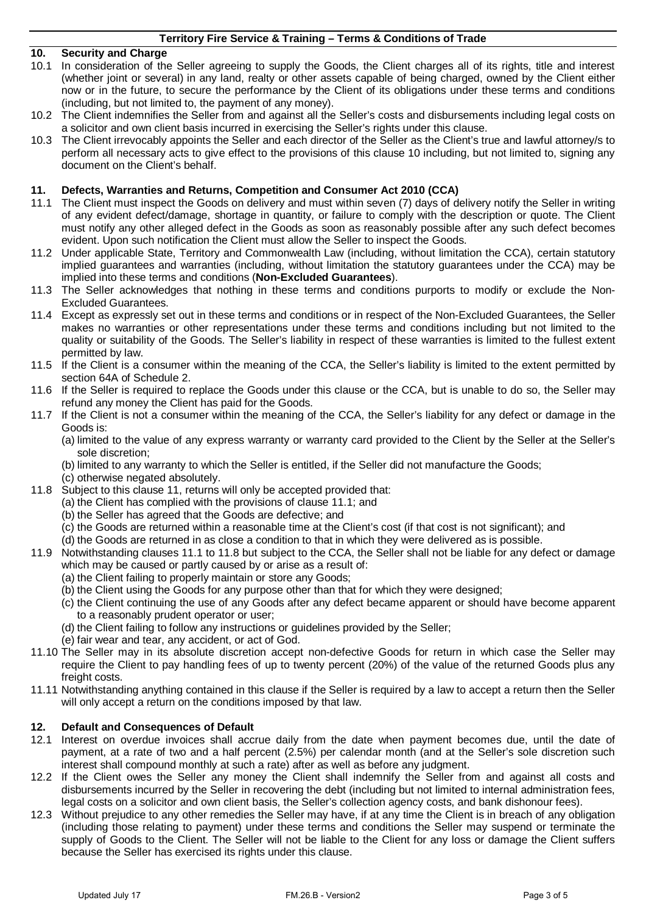## <span id="page-2-0"></span>**10. Security and Charge**

- 10.1 In consideration of the Seller agreeing to supply the Goods, the Client charges all of its rights, title and interest (whether joint or several) in any land, realty or other assets capable of being charged, owned by the Client either now or in the future, to secure the performance by the Client of its obligations under these terms and conditions (including, but not limited to, the payment of any money).
- 10.2 The Client indemnifies the Seller from and against all the Seller's costs and disbursements including legal costs on a solicitor and own client basis incurred in exercising the Seller's rights under this clause.
- 10.3 The Client irrevocably appoints the Seller and each director of the Seller as the Client's true and lawful attorney/s to perform all necessary acts to give effect to the provisions of this clause [10](#page-2-0) including, but not limited to, signing any document on the Client's behalf.

## <span id="page-2-1"></span>**11. Defects, Warranties and Returns, Competition and Consumer Act 2010 (CCA)**

- <span id="page-2-2"></span>11.1 The Client must inspect the Goods on delivery and must within seven (7) days of delivery notify the Seller in writing of any evident defect/damage, shortage in quantity, or failure to comply with the description or quote. The Client must notify any other alleged defect in the Goods as soon as reasonably possible after any such defect becomes evident. Upon such notification the Client must allow the Seller to inspect the Goods.
- 11.2 Under applicable State, Territory and Commonwealth Law (including, without limitation the CCA), certain statutory implied guarantees and warranties (including, without limitation the statutory guarantees under the CCA) may be implied into these terms and conditions (**Non-Excluded Guarantees**).
- 11.3 The Seller acknowledges that nothing in these terms and conditions purports to modify or exclude the Non-Excluded Guarantees.
- 11.4 Except as expressly set out in these terms and conditions or in respect of the Non-Excluded Guarantees, the Seller makes no warranties or other representations under these terms and conditions including but not limited to the quality or suitability of the Goods. The Seller's liability in respect of these warranties is limited to the fullest extent permitted by law.
- 11.5 If the Client is a consumer within the meaning of the CCA, the Seller's liability is limited to the extent permitted by section 64A of Schedule 2.
- 11.6 If the Seller is required to replace the Goods under this clause or the CCA, but is unable to do so, the Seller may refund any money the Client has paid for the Goods.
- 11.7 If the Client is not a consumer within the meaning of the CCA, the Seller's liability for any defect or damage in the Goods is:
	- (a) limited to the value of any express warranty or warranty card provided to the Client by the Seller at the Seller's sole discretion;
	- (b) limited to any warranty to which the Seller is entitled, if the Seller did not manufacture the Goods;
	- (c) otherwise negated absolutely.
- <span id="page-2-3"></span>11.8 Subject to this clause [11,](#page-2-1) returns will only be accepted provided that:
	- (a) the Client has complied with the provisions of clause [11.1;](#page-2-2) and
		- (b) the Seller has agreed that the Goods are defective; and
	- (c) the Goods are returned within a reasonable time at the Client's cost (if that cost is not significant); and
	- (d) the Goods are returned in as close a condition to that in which they were delivered as is possible.
- 11.9 Notwithstanding clauses [11.1](#page-2-2) to [11.8](#page-2-3) but subject to the CCA, the Seller shall not be liable for any defect or damage which may be caused or partly caused by or arise as a result of:
	- (a) the Client failing to properly maintain or store any Goods;
	- (b) the Client using the Goods for any purpose other than that for which they were designed;
	- (c) the Client continuing the use of any Goods after any defect became apparent or should have become apparent to a reasonably prudent operator or user;
	- (d) the Client failing to follow any instructions or guidelines provided by the Seller;
	- (e) fair wear and tear, any accident, or act of God.
- 11.10 The Seller may in its absolute discretion accept non-defective Goods for return in which case the Seller may require the Client to pay handling fees of up to twenty percent (20%) of the value of the returned Goods plus any freight costs.
- 11.11 Notwithstanding anything contained in this clause if the Seller is required by a law to accept a return then the Seller will only accept a return on the conditions imposed by that law.

## **12. Default and Consequences of Default**

- 12.1 Interest on overdue invoices shall accrue daily from the date when payment becomes due, until the date of payment, at a rate of two and a half percent (2.5%) per calendar month (and at the Seller's sole discretion such interest shall compound monthly at such a rate) after as well as before any judgment.
- 12.2 If the Client owes the Seller any money the Client shall indemnify the Seller from and against all costs and disbursements incurred by the Seller in recovering the debt (including but not limited to internal administration fees, legal costs on a solicitor and own client basis, the Seller's collection agency costs, and bank dishonour fees).
- 12.3 Without prejudice to any other remedies the Seller may have, if at any time the Client is in breach of any obligation (including those relating to payment) under these terms and conditions the Seller may suspend or terminate the supply of Goods to the Client. The Seller will not be liable to the Client for any loss or damage the Client suffers because the Seller has exercised its rights under this clause.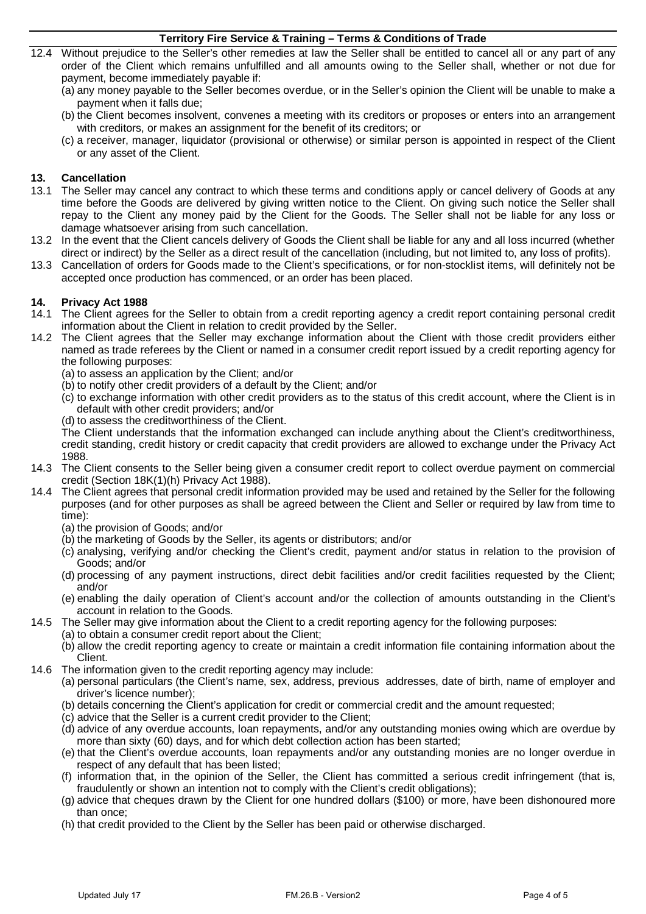- 12.4 Without prejudice to the Seller's other remedies at law the Seller shall be entitled to cancel all or any part of any order of the Client which remains unfulfilled and all amounts owing to the Seller shall, whether or not due for payment, become immediately payable if:
	- (a) any money payable to the Seller becomes overdue, or in the Seller's opinion the Client will be unable to make a payment when it falls due;
	- (b) the Client becomes insolvent, convenes a meeting with its creditors or proposes or enters into an arrangement with creditors, or makes an assignment for the benefit of its creditors; or
	- (c) a receiver, manager, liquidator (provisional or otherwise) or similar person is appointed in respect of the Client or any asset of the Client.

## **13. Cancellation**

- 13.1 The Seller may cancel any contract to which these terms and conditions apply or cancel delivery of Goods at any time before the Goods are delivered by giving written notice to the Client. On giving such notice the Seller shall repay to the Client any money paid by the Client for the Goods. The Seller shall not be liable for any loss or damage whatsoever arising from such cancellation.
- 13.2 In the event that the Client cancels delivery of Goods the Client shall be liable for any and all loss incurred (whether direct or indirect) by the Seller as a direct result of the cancellation (including, but not limited to, any loss of profits).
- 13.3 Cancellation of orders for Goods made to the Client's specifications, or for non-stocklist items, will definitely not be accepted once production has commenced, or an order has been placed.

## **14. Privacy Act 1988**

- 14.1 The Client agrees for the Seller to obtain from a credit reporting agency a credit report containing personal credit information about the Client in relation to credit provided by the Seller.
- 14.2 The Client agrees that the Seller may exchange information about the Client with those credit providers either named as trade referees by the Client or named in a consumer credit report issued by a credit reporting agency for the following purposes:
	- (a) to assess an application by the Client; and/or
	- (b) to notify other credit providers of a default by the Client; and/or
	- (c) to exchange information with other credit providers as to the status of this credit account, where the Client is in default with other credit providers; and/or
	- (d) to assess the creditworthiness of the Client.

The Client understands that the information exchanged can include anything about the Client's creditworthiness, credit standing, credit history or credit capacity that credit providers are allowed to exchange under the Privacy Act 1988.

- 14.3 The Client consents to the Seller being given a consumer credit report to collect overdue payment on commercial credit (Section 18K(1)(h) Privacy Act 1988).
- 14.4 The Client agrees that personal credit information provided may be used and retained by the Seller for the following purposes (and for other purposes as shall be agreed between the Client and Seller or required by law from time to time):
	- (a) the provision of Goods; and/or
	- (b) the marketing of Goods by the Seller, its agents or distributors; and/or
	- (c) analysing, verifying and/or checking the Client's credit, payment and/or status in relation to the provision of Goods; and/or
	- (d) processing of any payment instructions, direct debit facilities and/or credit facilities requested by the Client; and/or
	- (e) enabling the daily operation of Client's account and/or the collection of amounts outstanding in the Client's account in relation to the Goods.
- 14.5 The Seller may give information about the Client to a credit reporting agency for the following purposes:
	- (a) to obtain a consumer credit report about the Client;
	- (b) allow the credit reporting agency to create or maintain a credit information file containing information about the Client.
- 14.6 The information given to the credit reporting agency may include:
	- (a) personal particulars (the Client's name, sex, address, previous addresses, date of birth, name of employer and driver's licence number);
	- (b) details concerning the Client's application for credit or commercial credit and the amount requested;
	- (c) advice that the Seller is a current credit provider to the Client;
	- (d) advice of any overdue accounts, loan repayments, and/or any outstanding monies owing which are overdue by more than sixty (60) days, and for which debt collection action has been started;
	- (e) that the Client's overdue accounts, loan repayments and/or any outstanding monies are no longer overdue in respect of any default that has been listed;
	- (f) information that, in the opinion of the Seller, the Client has committed a serious credit infringement (that is, fraudulently or shown an intention not to comply with the Client's credit obligations);
	- (g) advice that cheques drawn by the Client for one hundred dollars (\$100) or more, have been dishonoured more than once;
	- (h) that credit provided to the Client by the Seller has been paid or otherwise discharged.